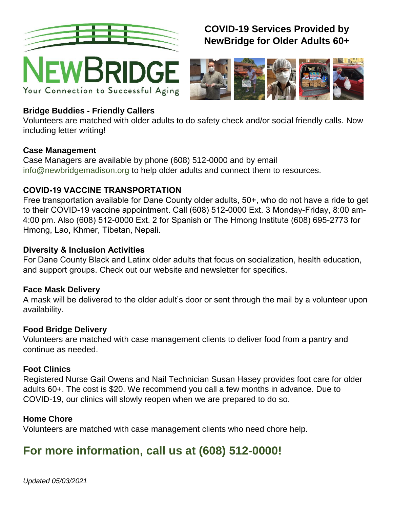

Your Connection to Successful Aging

# **COVID-19 Services Provided by NewBridge for Older Adults 60+**



# **Bridge Buddies - Friendly Callers**

Volunteers are matched with older adults to do safety check and/or social friendly calls. Now including letter writing!

#### **Case Management**

Case Managers are available by phone (608) 512-0000 and by email [info@newbridgemadison.org](mailto:info@newbridgemadison.org) to help older adults and connect them to resources.

# **COVID-19 VACCINE TRANSPORTATION**

Free transportation available for Dane County older adults, 50+, who do not have a ride to get to their COVID-19 vaccine appointment. Call (608) 512-0000 Ext. 3 Monday-Friday, 8:00 am-4:00 pm. Also (608) 512-0000 Ext. 2 for Spanish or The Hmong Institute (608) 695-2773 for Hmong, Lao, Khmer, Tibetan, Nepali.

### **Diversity & Inclusion Activities**

For Dane County Black and Latinx older adults that focus on socialization, health education, and support groups. Check out our website and newsletter for specifics.

#### **Face Mask Delivery**

A mask will be delivered to the older adult's door or sent through the mail by a volunteer upon availability.

#### **Food Bridge Delivery**

Volunteers are matched with case management clients to deliver food from a pantry and continue as needed.

# **Foot Clinics**

Registered Nurse Gail Owens and Nail Technician Susan Hasey provides foot care for older adults 60+. The cost is \$20. We recommend you call a few months in advance. Due to COVID-19, our clinics will slowly reopen when we are prepared to do so.

# **Home Chore**

Volunteers are matched with case management clients who need chore help.

# **For more information, call us at (608) 512-0000!**

*Updated 05/03/2021*